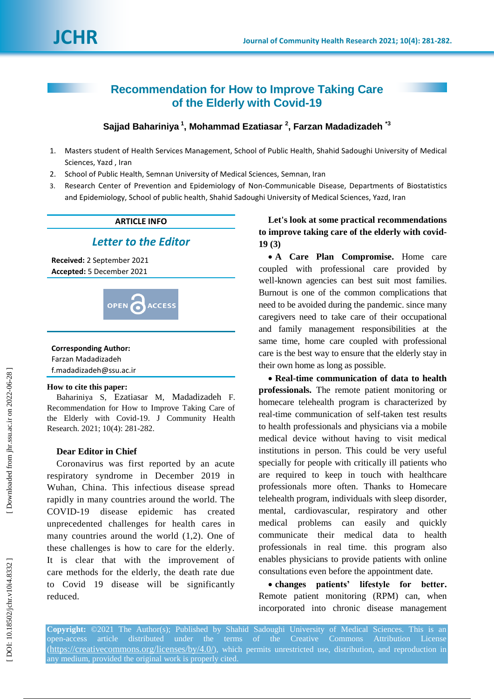# **Recommendation for How to Improve Taking Care of the Elderly with Covid -19**

# **Sajjad Bahariniya 1 , Mohammad Ezatiasar 2 , Farzan Madadizadeh \* 3**

- 1 . Masters student of Health Services Management, School of Public Health, Shahid Sadoughi University of Medical Sciences, Yazd , Iran
- $2.$ . School of Public Health, Semnan University of Medical Sciences, Semnan, Iran
- 3. . Research Center of Prevention and Epidemiology of Non -Communicable Disease, Departments of Biostatistics and Epidemiology, School of public health, Shahid Sadoughi University of Medical Sciences, Yazd, Iran

## **ARTICLE INFO**

# *Letter to the Editor*

**Received:** 2 September 2021 **Accepted:** 5 December 202 1



## **Corresponding Author:**

| Farzan Madadizadeh      |
|-------------------------|
| f.madadizadeh@ssu.ac.ir |

#### **How to cite this paper:**

Bahariniya S, Ezatiasar M, Madadizadeh F. Recommendation for How to Improve Taking Care of the Elderly with Covid -19 . J Community Health Research. 2021; 10(4): 281-282.

## **Dear Editor in Chief**

Coronavirus was first reported by an acute respiratory syndrome in December 2019 in Wuhan, China. This infectious disease spread rapidly in many countries around the world. The COVID -19 disease epidemic has created unprecedented challenges for health cares in many countries around the world (1,2). One of these challenges is how to care for the elderly. It is clear that with the improvement of care methods for the elderly, the death rate due to Covid 19 disease will be significantly reduced.

**Let's look at some practical recommendations to improve taking care of the elderly with covid - 19 (3)**

 **A Care Plan Compromise.** Home care coupled with professional care provided by well -known agencies can best suit most families. Burnout is one of the common complications that need to be avoided during the pandemic. since many caregivers need to take care of their occupational and family management responsibilities at the same time, home care coupled with professional care is the best way to ensure that the elderly stay in their own home as long as possible.

 **Real-time communication of data to health professionals .** The remote patient monitoring or homecare telehealth program is characterized by real -time communication of self -taken test results to health professionals and physicians via a mobile medical device without having to visit medical institutions in person. This could be very useful specially for people with critically ill patients who are required to keep in touch with healthcare professionals more often. Thanks to Homecare telehealth program, individuals with sleep disorder, mental, cardiovascular, respiratory and other medical problems can easily and quickly communicate their medical data to health professionals in real time. this program also enables physicians to provide patients with online consultations even before the appointment date.

 **changes patients' lifestyle for better.**  Remote patient monitoring (RPM) can, when incorporated into chronic disease management

**Copyright:** ©2021 The Author(s); Published by Shahid Sadoughi University of Medical Sciences. This is an open -access article distributed under the terms of the Creative Commons Attribution License (https://creativecommons.org/licenses/by/4.0/), which permits unrestricted use, distribution, and reproduction in any medium, provided the original work is properly cited.